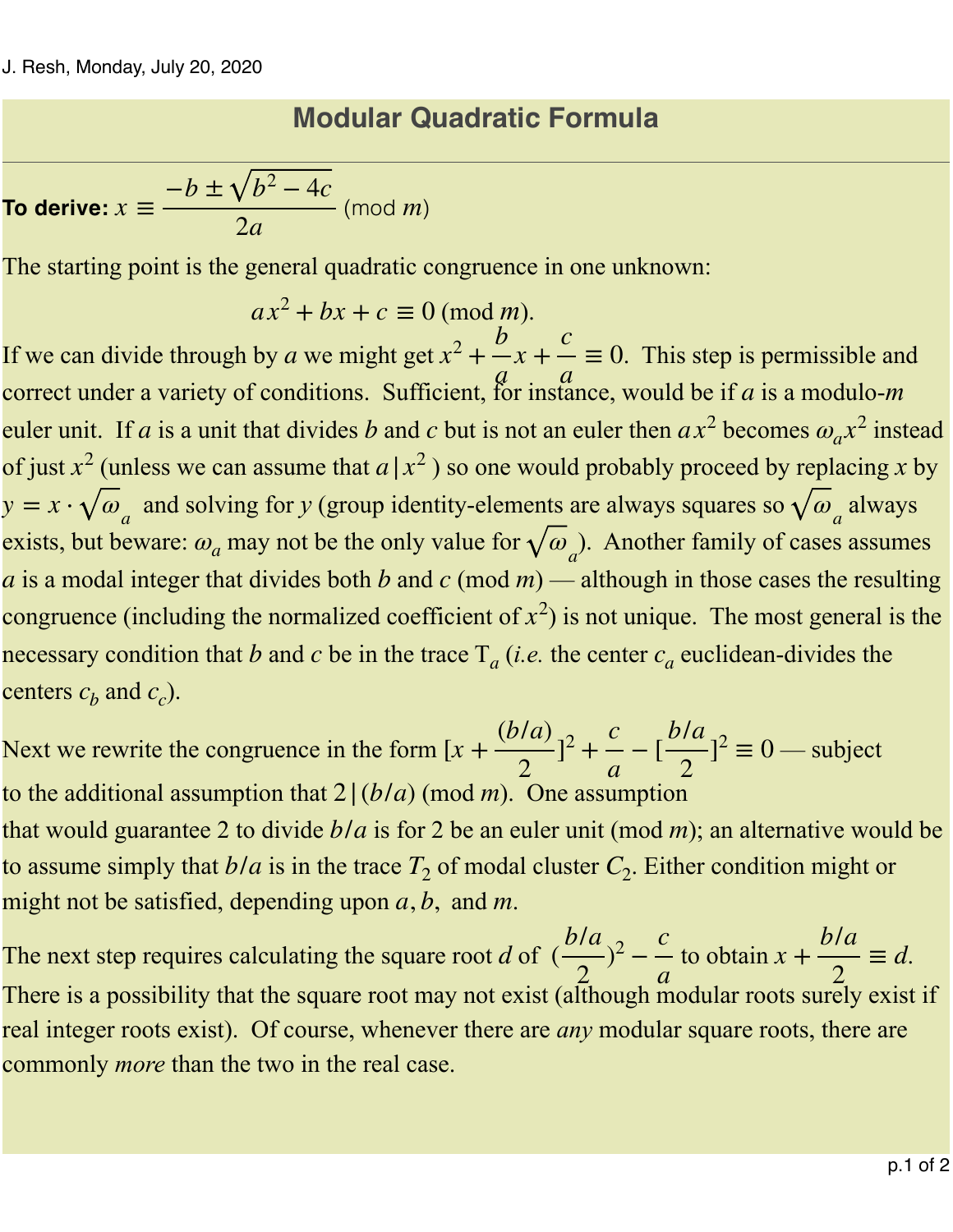## **Modular Quadratic Formula**

**To derive:**  $x \equiv \frac{-b \pm \sqrt{b^2 - 4c}}{2}$  (mod *m*) 2*a m*

The starting point is the general quadratic congruence in one unknown:

$$
ax^2 + bx + c \equiv 0 \pmod{m}.
$$

If we can divide through by a we might get  $x^2 + -x^2 = 0$ . This step is permissible and correct under a variety of conditions. Sufficient, for instance, would be if  $a$  is a modulo- $m$ euler unit. If a is a unit that divides b and c but is not an euler then  $ax^2$  becomes  $\omega_a x^2$  instead of just  $x^2$  (unless we can assume that  $a | x^2$ ) so one would probably proceed by replacing x by  $y = x \cdot \sqrt{\omega_a}$  and solving for *y* (group identity-elements are always squares so  $\sqrt{\omega_a}$  always exists, but beware:  $\omega_a$  may not be the only value for  $\sqrt{\omega_a}$ . Another family of cases assumes *a* is a modal integer that divides both *b* and *c* (mod  $m$ ) — although in those cases the resulting congruence (including the normalized coefficient of  $x^2$ ) is not unique. The most general is the necessary condition that b and c be in the trace  $T_a$  (*i.e.* the center  $c_a$  euclidean-divides the centers  $c_b$  and  $c_c$ ). *b a a x* + *c*  $\equiv 0$ *a*

Next we rewrite the congruence in the form  $[x + \frac{(b/a)}{2}]^2 + \frac{c}{2} - [\frac{b/a}{2}]^2 \equiv 0$  — subject to the additional assumption that  $2|(b/a)(\text{mod } m)$ . One assumption that would guarantee 2 to divide  $b/a$  is for 2 be an euler unit (mod *m*); an alternative would be to assume simply that  $b/a$  is in the trace  $T_2$  of modal cluster  $C_2$ . Either condition might or might not be satisfied, depending upon  $a, b$ , and  $m$ .  $\frac{1}{2}$ ]<sup>2</sup> + *c <sup>a</sup>* <sup>−</sup> [ *b*/*a*  $\left(\frac{a}{2}\right)^2 \equiv 0$ 

The next step requires calculating the square root d of  $\left(\frac{\partial u}{\partial x}\right)^2 - \frac{\partial u}{\partial y}$  to obtain  $x + \frac{\partial u}{\partial y} \equiv d$ . There is a possibility that the square root may not exist (although modular roots surely exist if real integer roots exist). Of course, whenever there are *any* modular square roots, there are commonly *more* than the two in the real case. *b*/*a*  $\frac{1}{2}$  $2-\frac{c}{c}$ *a x* + *b*/*a* 2 ≡ *d*